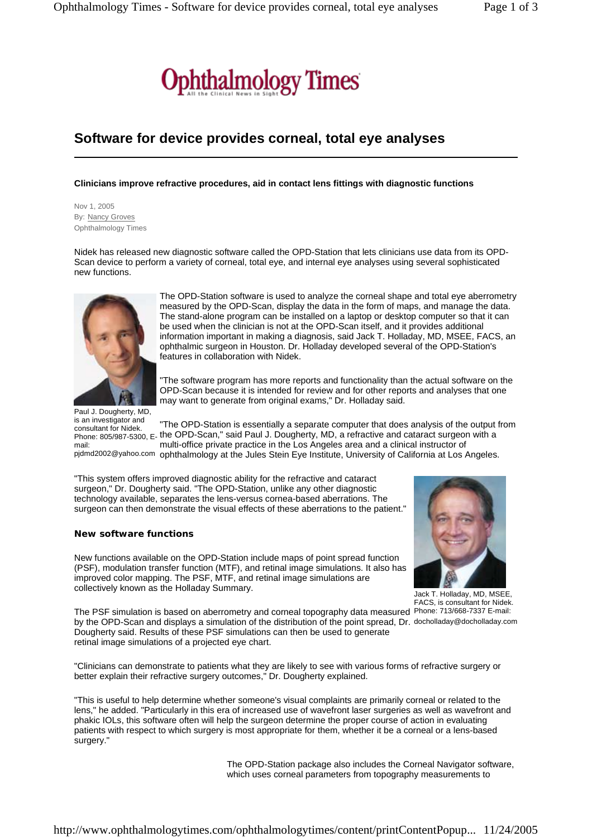

## **Software for device provides corneal, total eye analyses**

## **Clinicians improve refractive procedures, aid in contact lens fittings with diagnostic functions**

Nov 1, 2005 By: Nancy Groves Ophthalmology Times

Nidek has released new diagnostic software called the OPD-Station that lets clinicians use data from its OPD-Scan device to perform a variety of corneal, total eye, and internal eye analyses using several sophisticated new functions.



The OPD-Station software is used to analyze the corneal shape and total eye aberrometry measured by the OPD-Scan, display the data in the form of maps, and manage the data. The stand-alone program can be installed on a laptop or desktop computer so that it can be used when the clinician is not at the OPD-Scan itself, and it provides additional information important in making a diagnosis, said Jack T. Holladay, MD, MSEE, FACS, an ophthalmic surgeon in Houston. Dr. Holladay developed several of the OPD-Station's features in collaboration with Nidek.

"The software program has more reports and functionality than the actual software on the OPD-Scan because it is intended for review and for other reports and analyses that one may want to generate from original exams," Dr. Holladay said.

Paul J. Dougherty, MD, is an investigator and consultant for Nidek. mail:

"The OPD-Station is essentially a separate computer that does analysis of the output from ominum Cataraction, E. the OPD-Scan," said Paul J. Dougherty, MD, a refractive and cataract surgeon with a phone: 805/987-5300, E. multi-office private practice in the Los Angeles area and a clinical instructor of pjdmd2002@yahoo.com ophthalmology at the Jules Stein Eye Institute, University of California at Los Angeles.

"This system offers improved diagnostic ability for the refractive and cataract surgeon," Dr. Dougherty said. "The OPD-Station, unlike any other diagnostic technology available, separates the lens-versus cornea-based aberrations. The surgeon can then demonstrate the visual effects of these aberrations to the patient."

## **New software functions**

New functions available on the OPD-Station include maps of point spread function (PSF), modulation transfer function (MTF), and retinal image simulations. It also has improved color mapping. The PSF, MTF, and retinal image simulations are collectively known as the Holladay Summary.



Jack T. Holladay, MD, MSEE, FACS, is consultant for Nidek.

The PSF simulation is based on aberrometry and corneal topography data measured Phone: 713/668-7337 E-mail: by the OPD-Scan and displays a simulation of the distribution of the point spread, Dr. docholladay@docholladay.com Dougherty said. Results of these PSF simulations can then be used to generate retinal image simulations of a projected eye chart.

"Clinicians can demonstrate to patients what they are likely to see with various forms of refractive surgery or better explain their refractive surgery outcomes," Dr. Dougherty explained.

"This is useful to help determine whether someone's visual complaints are primarily corneal or related to the lens," he added. "Particularly in this era of increased use of wavefront laser surgeries as well as wavefront and phakic IOLs, this software often will help the surgeon determine the proper course of action in evaluating patients with respect to which surgery is most appropriate for them, whether it be a corneal or a lens-based surgery."

> The OPD-Station package also includes the Corneal Navigator software, which uses corneal parameters from topography measurements to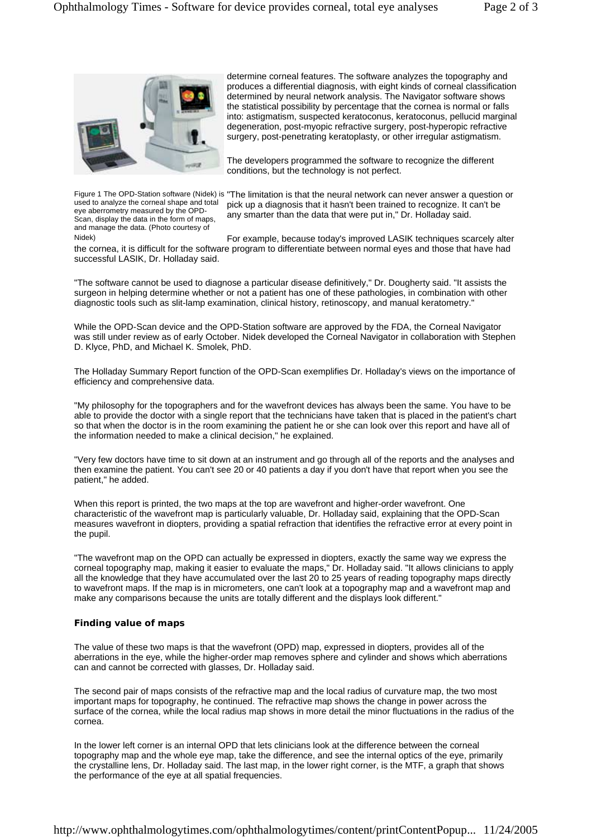

produces a differential diagnosis, with eight kinds of corneal classification determined by neural network analysis. The Navigator software shows the statistical possibility by percentage that the cornea is normal or falls into: astigmatism, suspected keratoconus, keratoconus, pellucid marginal degeneration, post-myopic refractive surgery, post-hyperopic refractive surgery, post-penetrating keratoplasty, or other irregular astigmatism.

determine corneal features. The software analyzes the topography and

The developers programmed the software to recognize the different conditions, but the technology is not perfect.

used to analyze the corneal shape and total eye aberrometry measured by the OPD-Scan, display the data in the form of maps, and manage the data. (Photo courtesy of

Figure 1 The OPD-Station software (Nidek) is "The limitation is that the neural network can never answer a question or pick up a diagnosis that it hasn't been trained to recognize. It can't be any smarter than the data that were put in," Dr. Holladay said.

For example, because today's improved LASIK techniques scarcely alter the cornea, it is difficult for the software program to differentiate between normal eyes and those that have had successful LASIK, Dr. Holladay said. Nidek)

"The software cannot be used to diagnose a particular disease definitively," Dr. Dougherty said. "It assists the surgeon in helping determine whether or not a patient has one of these pathologies, in combination with other diagnostic tools such as slit-lamp examination, clinical history, retinoscopy, and manual keratometry."

While the OPD-Scan device and the OPD-Station software are approved by the FDA, the Corneal Navigator was still under review as of early October. Nidek developed the Corneal Navigator in collaboration with Stephen D. Klyce, PhD, and Michael K. Smolek, PhD.

The Holladay Summary Report function of the OPD-Scan exemplifies Dr. Holladay's views on the importance of efficiency and comprehensive data.

"My philosophy for the topographers and for the wavefront devices has always been the same. You have to be able to provide the doctor with a single report that the technicians have taken that is placed in the patient's chart so that when the doctor is in the room examining the patient he or she can look over this report and have all of the information needed to make a clinical decision," he explained.

"Very few doctors have time to sit down at an instrument and go through all of the reports and the analyses and then examine the patient. You can't see 20 or 40 patients a day if you don't have that report when you see the patient," he added.

When this report is printed, the two maps at the top are wavefront and higher-order wavefront. One characteristic of the wavefront map is particularly valuable, Dr. Holladay said, explaining that the OPD-Scan measures wavefront in diopters, providing a spatial refraction that identifies the refractive error at every point in the pupil.

"The wavefront map on the OPD can actually be expressed in diopters, exactly the same way we express the corneal topography map, making it easier to evaluate the maps," Dr. Holladay said. "It allows clinicians to apply all the knowledge that they have accumulated over the last 20 to 25 years of reading topography maps directly to wavefront maps. If the map is in micrometers, one can't look at a topography map and a wavefront map and make any comparisons because the units are totally different and the displays look different."

## **Finding value of maps**

The value of these two maps is that the wavefront (OPD) map, expressed in diopters, provides all of the aberrations in the eye, while the higher-order map removes sphere and cylinder and shows which aberrations can and cannot be corrected with glasses, Dr. Holladay said.

The second pair of maps consists of the refractive map and the local radius of curvature map, the two most important maps for topography, he continued. The refractive map shows the change in power across the surface of the cornea, while the local radius map shows in more detail the minor fluctuations in the radius of the cornea.

In the lower left corner is an internal OPD that lets clinicians look at the difference between the corneal topography map and the whole eye map, take the difference, and see the internal optics of the eye, primarily the crystalline lens, Dr. Holladay said. The last map, in the lower right corner, is the MTF, a graph that shows the performance of the eye at all spatial frequencies.